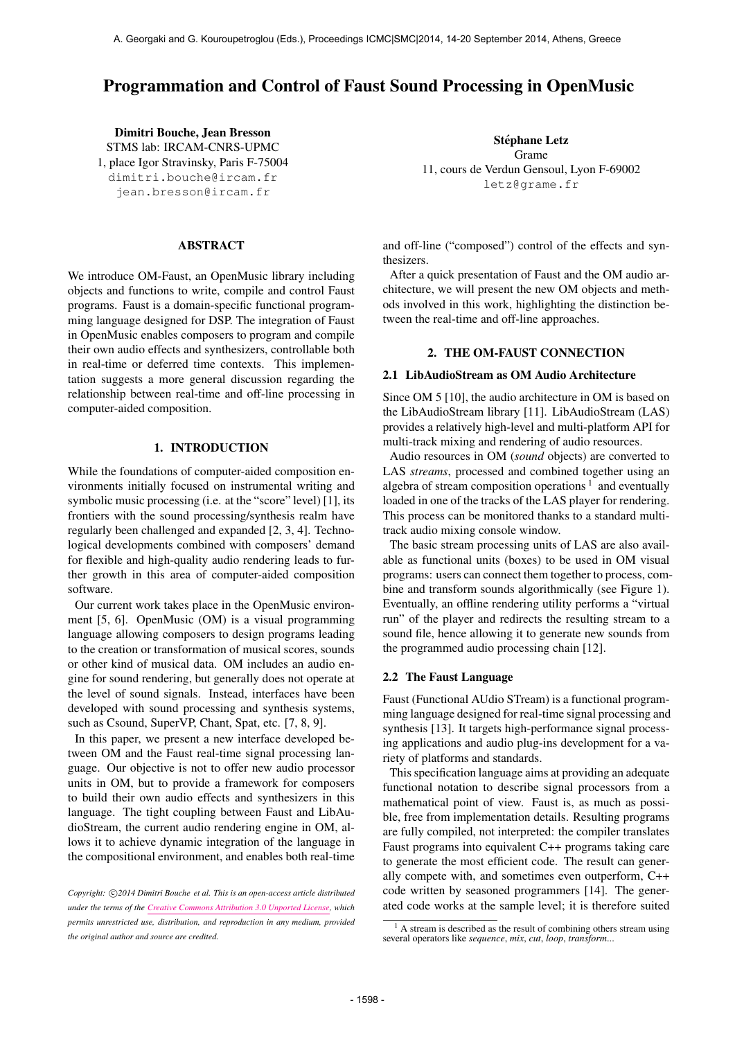# Programmation and Control of Faust Sound Processing in OpenMusic

Dimitri Bouche, Jean Bresson STMS lab: IRCAM-CNRS-UPMC 1, place Igor Stravinsky, Paris F-75004 [dimitri.bouche@ircam.fr](mailto:dimitri.bouche@ircam.fr) [jean.bresson@ircam.fr](mailto:jean.bresson@ircam.fr)

### ABSTRACT

We introduce OM-Faust, an OpenMusic library including objects and functions to write, compile and control Faust programs. Faust is a domain-specific functional programming language designed for DSP. The integration of Faust in OpenMusic enables composers to program and compile their own audio effects and synthesizers, controllable both in real-time or deferred time contexts. This implementation suggests a more general discussion regarding the relationship between real-time and off-line processing in computer-aided composition.

### 1. INTRODUCTION

While the foundations of computer-aided composition environments initially focused on instrumental writing and symbolic music processing (i.e. at the "score" level) [1], its frontiers with the sound processing/synthesis realm have regularly been challenged and expanded [2, 3, 4]. Technological developments combined with composers' demand for flexible and high-quality audio rendering leads to further growth in this area of computer-aided composition software.

Our current work takes place in the OpenMusic environment [5, 6]. OpenMusic (OM) is a visual programming language allowing composers to design programs leading to the creation or transformation of musical scores, sounds or other kind of musical data. OM includes an audio engine for sound rendering, but generally does not operate at the level of sound signals. Instead, interfaces have been developed with sound processing and synthesis systems, such as Csound, SuperVP, Chant, Spat, etc. [7, 8, 9].

In this paper, we present a new interface developed between OM and the Faust real-time signal processing language. Our objective is not to offer new audio processor units in OM, but to provide a framework for composers to build their own audio effects and synthesizers in this language. The tight coupling between Faust and LibAudioStream, the current audio rendering engine in OM, allows it to achieve dynamic integration of the language in the compositional environment, and enables both real-time

Stéphane Letz Grame 11, cours de Verdun Gensoul, Lyon F-69002 [letz@grame.fr](mailto:letz@grame.fr)

and off-line ("composed") control of the effects and synthesizers.

After a quick presentation of Faust and the OM audio architecture, we will present the new OM objects and methods involved in this work, highlighting the distinction between the real-time and off-line approaches.

#### 2. THE OM-FAUST CONNECTION

### 2.1 LibAudioStream as OM Audio Architecture

Since OM 5 [10], the audio architecture in OM is based on the LibAudioStream library [11]. LibAudioStream (LAS) provides a relatively high-level and multi-platform API for multi-track mixing and rendering of audio resources.

Audio resources in OM (*sound* objects) are converted to LAS *streams*, processed and combined together using an algebra of stream composition operations<sup>1</sup> and eventually loaded in one of the tracks of the LAS player for rendering. This process can be monitored thanks to a standard multitrack audio mixing console window.

The basic stream processing units of LAS are also available as functional units (boxes) to be used in OM visual programs: users can connect them together to process, combine and transform sounds algorithmically (see Figure 1). Eventually, an offline rendering utility performs a "virtual run" of the player and redirects the resulting stream to a sound file, hence allowing it to generate new sounds from the programmed audio processing chain [12].

#### 2.2 The Faust Language

Faust (Functional AUdio STream) is a functional programming language designed for real-time signal processing and synthesis [13]. It targets high-performance signal processing applications and audio plug-ins development for a variety of platforms and standards.

This specification language aims at providing an adequate functional notation to describe signal processors from a mathematical point of view. Faust is, as much as possible, free from implementation details. Resulting programs are fully compiled, not interpreted: the compiler translates Faust programs into equivalent C++ programs taking care to generate the most efficient code. The result can generally compete with, and sometimes even outperform, C++ code written by seasoned programmers [14]. The generated code works at the sample level; it is therefore suited

Copyright:  $\bigcirc$ 2014 Dimitri Bouche et al. This is an open-access article distributed *under the terms of the [Creative Commons Attribution 3.0 Unported License,](http://creativecommons.org/licenses/by/3.0/) which permits unrestricted use, distribution, and reproduction in any medium, provided the original author and source are credited.*

 $<sup>1</sup>$  A stream is described as the result of combining others stream using</sup> several operators like *sequence*, *mix*, *cut*, *loop*, *transform*...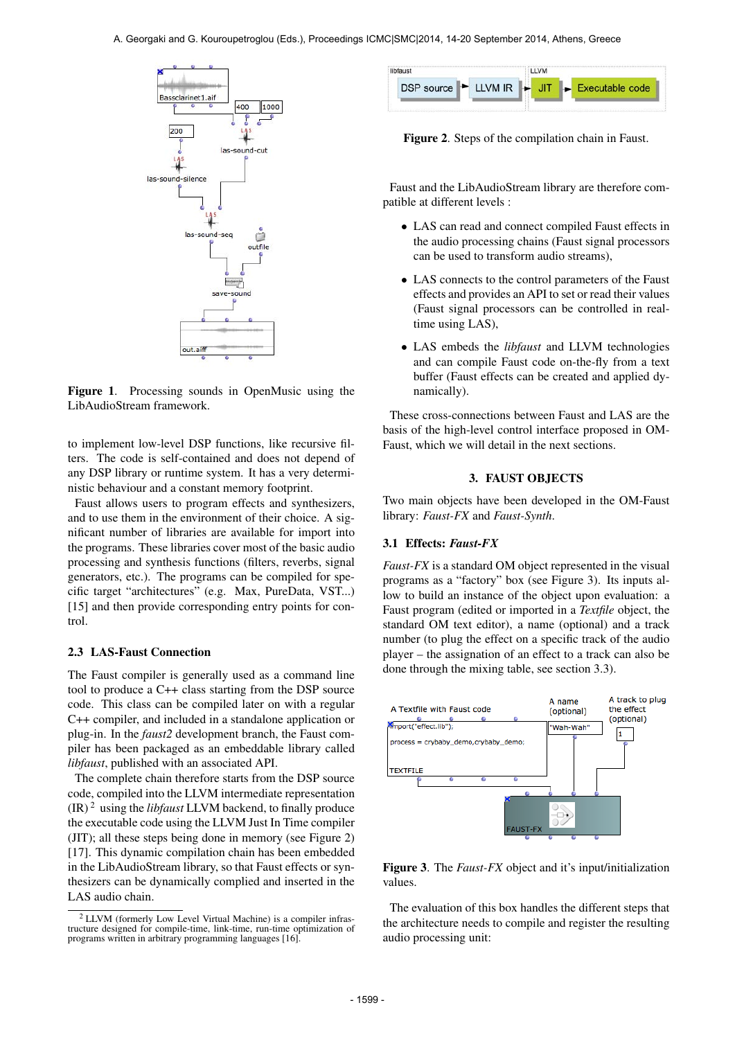

Figure 1. Processing sounds in OpenMusic using the LibAudioStream framework.

to implement low-level DSP functions, like recursive filters. The code is self-contained and does not depend of any DSP library or runtime system. It has a very deterministic behaviour and a constant memory footprint.

Faust allows users to program effects and synthesizers, and to use them in the environment of their choice. A significant number of libraries are available for import into the programs. These libraries cover most of the basic audio processing and synthesis functions (filters, reverbs, signal generators, etc.). The programs can be compiled for specific target "architectures" (e.g. Max, PureData, VST...) [15] and then provide corresponding entry points for control.

#### 2.3 LAS-Faust Connection

The Faust compiler is generally used as a command line tool to produce a C++ class starting from the DSP source code. This class can be compiled later on with a regular C++ compiler, and included in a standalone application or plug-in. In the *faust2* development branch, the Faust compiler has been packaged as an embeddable library called *libfaust*, published with an associated API.

The complete chain therefore starts from the DSP source code, compiled into the LLVM intermediate representation  $(IR)^2$  using the *libfaust* LLVM backend, to finally produce the executable code using the LLVM Just In Time compiler (JIT); all these steps being done in memory (see Figure 2) [17]. This dynamic compilation chain has been embedded in the LibAudioStream library, so that Faust effects or synthesizers can be dynamically complied and inserted in the LAS audio chain.

| DSP source LLVM IR FUT<br>$\blacktriangleright$ Executable code | libfaust | LLVM |  |
|-----------------------------------------------------------------|----------|------|--|
|                                                                 |          |      |  |

Figure 2. Steps of the compilation chain in Faust.

Faust and the LibAudioStream library are therefore compatible at different levels :

- LAS can read and connect compiled Faust effects in the audio processing chains (Faust signal processors can be used to transform audio streams),
- LAS connects to the control parameters of the Faust effects and provides an API to set or read their values (Faust signal processors can be controlled in realtime using LAS),
- LAS embeds the *libfaust* and LLVM technologies and can compile Faust code on-the-fly from a text buffer (Faust effects can be created and applied dynamically).

These cross-connections between Faust and LAS are the basis of the high-level control interface proposed in OM-Faust, which we will detail in the next sections.

### 3. FAUST OBJECTS

Two main objects have been developed in the OM-Faust library: *Faust-FX* and *Faust-Synth*.

#### 3.1 Effects: *Faust-FX*

*Faust-FX* is a standard OM object represented in the visual programs as a "factory" box (see Figure 3). Its inputs allow to build an instance of the object upon evaluation: a Faust program (edited or imported in a *Textfile* object, the standard OM text editor), a name (optional) and a track number (to plug the effect on a specific track of the audio player – the assignation of an effect to a track can also be done through the mixing table, see section 3.3).



Figure 3. The *Faust-FX* object and it's input/initialization values.

The evaluation of this box handles the different steps that the architecture needs to compile and register the resulting audio processing unit:

<sup>2</sup> LLVM (formerly Low Level Virtual Machine) is a compiler infrastructure designed for compile-time, link-time, run-time optimization of programs written in arbitrary programming languages [16].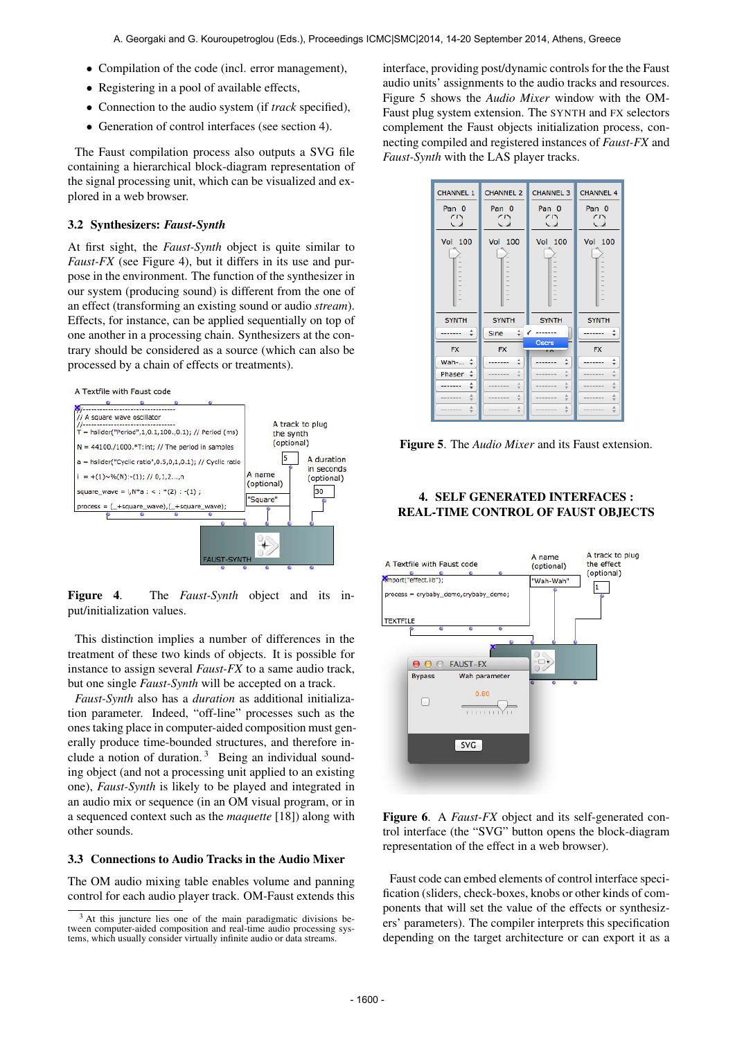- Compilation of the code (incl. error management),
- Registering in a pool of available effects,
- Connection to the audio system (if *track* specified),
- Generation of control interfaces (see section 4).

The Faust compilation process also outputs a SVG file containing a hierarchical block-diagram representation of the signal processing unit, which can be visualized and explored in a web browser.

#### 3.2 Synthesizers: *Faust-Synth*

At first sight, the *Faust-Synth* object is quite similar to *Faust-FX* (see Figure 4), but it differs in its use and purpose in the environment. The function of the synthesizer in our system (producing sound) is different from the one of an effect (transforming an existing sound or audio *stream*). Effects, for instance, can be applied sequentially on top of one another in a processing chain. Synthesizers at the contrary should be considered as a source (which can also be processed by a chain of effects or treatments).





Figure 4. The *Faust-Synth* object and its input/initialization values.

This distinction implies a number of differences in the treatment of these two kinds of objects. It is possible for instance to assign several *Faust-FX* to a same audio track, but one single *Faust-Synth* will be accepted on a track.

*Faust-Synth* also has a *duration* as additional initialization parameter. Indeed, "off-line" processes such as the ones taking place in computer-aided composition must generally produce time-bounded structures, and therefore include a notion of duration.<sup>3</sup> Being an individual sounding object (and not a processing unit applied to an existing one), *Faust-Synth* is likely to be played and integrated in an audio mix or sequence (in an OM visual program, or in a sequenced context such as the *maquette* [18]) along with other sounds.

### 3.3 Connections to Audio Tracks in the Audio Mixer

The OM audio mixing table enables volume and panning control for each audio player track. OM-Faust extends this interface, providing post/dynamic controls for the the Faust audio units' assignments to the audio tracks and resources. Figure 5 shows the *Audio Mixer* window with the OM-Faust plug system extension. The SYNTH and FX selectors complement the Faust objects initialization process, connecting compiled and registered instances of *Faust-FX* and *Faust-Synth* with the LAS player tracks.



Figure 5. The *Audio Mixer* and its Faust extension.

## 4. SELF GENERATED INTERFACES : REAL-TIME CONTROL OF FAUST OBJECTS



Figure 6. A *Faust-FX* object and its self-generated control interface (the "SVG" button opens the block-diagram representation of the effect in a web browser).

Faust code can embed elements of control interface specification (sliders, check-boxes, knobs or other kinds of components that will set the value of the effects or synthesizers' parameters). The compiler interprets this specification depending on the target architecture or can export it as a

<sup>&</sup>lt;sup>3</sup> At this juncture lies one of the main paradigmatic divisions be-<br>tween computer-aided composition and real-time audio processing systems, which usually consider virtually infinite audio or data streams.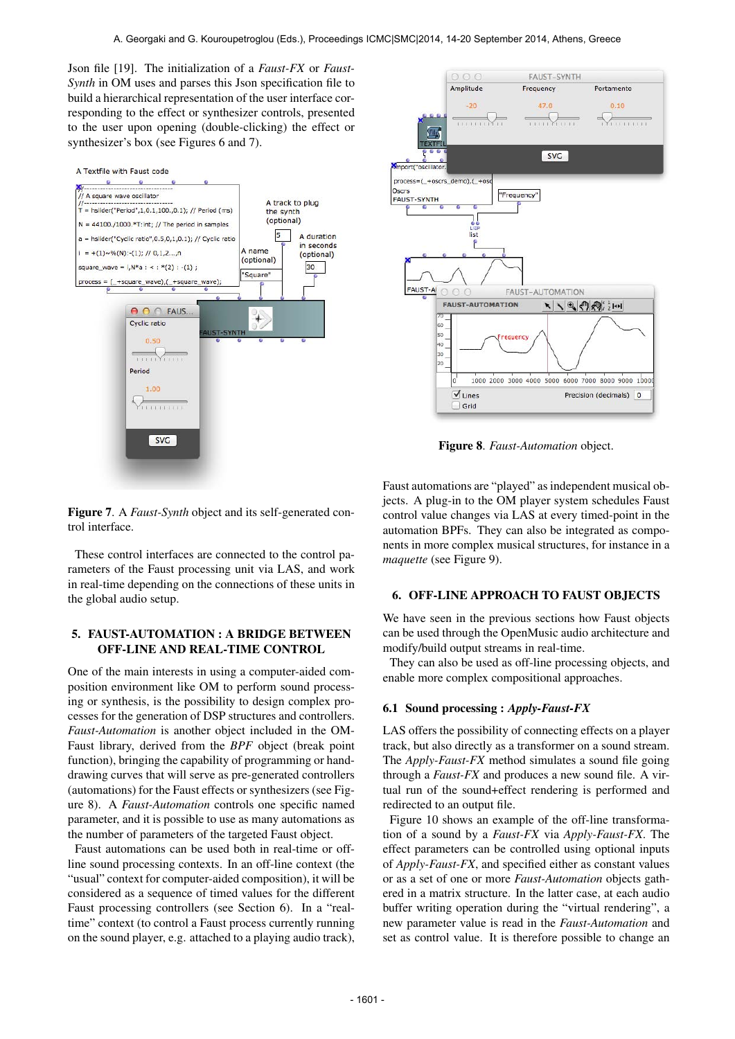Json file [19]. The initialization of a *Faust-FX* or *Faust-Synth* in OM uses and parses this Json specification file to build a hierarchical representation of the user interface corresponding to the effect or synthesizer controls, presented to the user upon opening (double-clicking) the effect or synthesizer's box (see Figures 6 and 7).





Figure 8. *Faust-Automation* object.

Figure 7. A *Faust-Synth* object and its self-generated control interface.

These control interfaces are connected to the control parameters of the Faust processing unit via LAS, and work in real-time depending on the connections of these units in the global audio setup.

### 5. FAUST-AUTOMATION : A BRIDGE BETWEEN OFF-LINE AND REAL-TIME CONTROL

One of the main interests in using a computer-aided composition environment like OM to perform sound processing or synthesis, is the possibility to design complex processes for the generation of DSP structures and controllers. *Faust-Automation* is another object included in the OM-Faust library, derived from the *BPF* object (break point function), bringing the capability of programming or handdrawing curves that will serve as pre-generated controllers (automations) for the Faust effects or synthesizers (see Figure 8). A *Faust-Automation* controls one specific named parameter, and it is possible to use as many automations as the number of parameters of the targeted Faust object.

Faust automations can be used both in real-time or offline sound processing contexts. In an off-line context (the "usual" context for computer-aided composition), it will be considered as a sequence of timed values for the different Faust processing controllers (see Section 6). In a "realtime" context (to control a Faust process currently running on the sound player, e.g. attached to a playing audio track), Faust automations are "played" as independent musical objects. A plug-in to the OM player system schedules Faust control value changes via LAS at every timed-point in the automation BPFs. They can also be integrated as components in more complex musical structures, for instance in a *maquette* (see Figure 9).

#### 6. OFF-LINE APPROACH TO FAUST OBJECTS

We have seen in the previous sections how Faust objects can be used through the OpenMusic audio architecture and modify/build output streams in real-time.

They can also be used as off-line processing objects, and enable more complex compositional approaches.

#### 6.1 Sound processing : *Apply-Faust-FX*

LAS offers the possibility of connecting effects on a player track, but also directly as a transformer on a sound stream. The *Apply-Faust-FX* method simulates a sound file going through a *Faust-FX* and produces a new sound file. A virtual run of the sound+effect rendering is performed and redirected to an output file.

Figure 10 shows an example of the off-line transformation of a sound by a *Faust-FX* via *Apply-Faust-FX*. The effect parameters can be controlled using optional inputs of *Apply-Faust-FX*, and specified either as constant values or as a set of one or more *Faust-Automation* objects gathered in a matrix structure. In the latter case, at each audio buffer writing operation during the "virtual rendering", a new parameter value is read in the *Faust-Automation* and set as control value. It is therefore possible to change an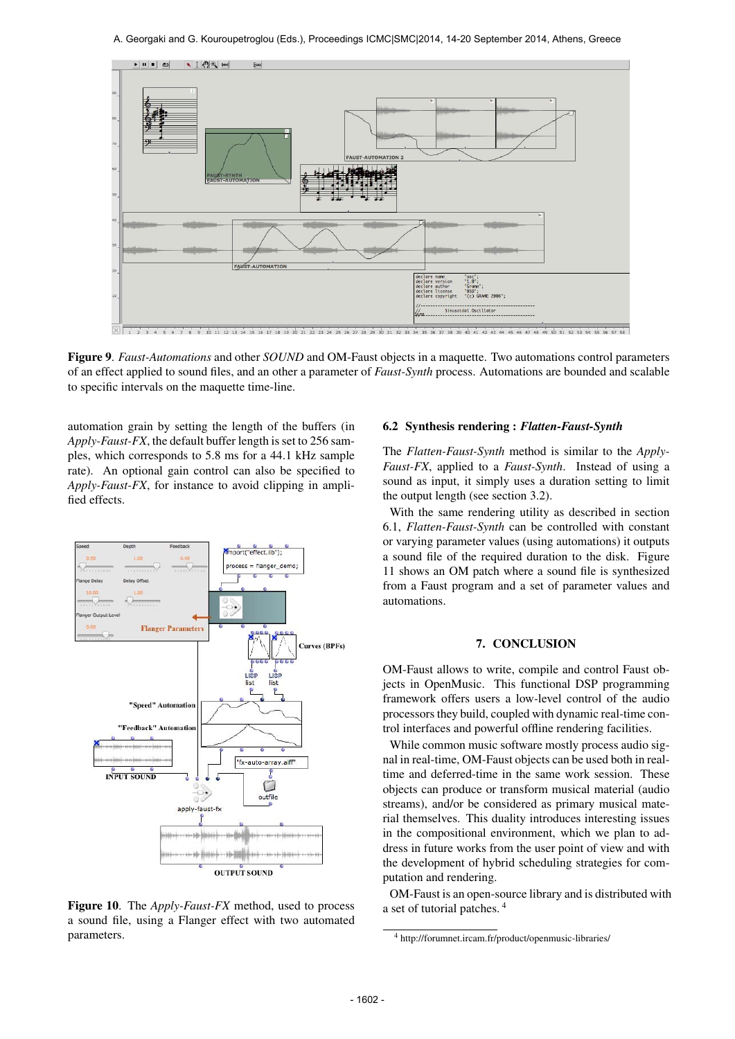

Figure 9. *Faust-Automations* and other *SOUND* and OM-Faust objects in a maquette. Two automations control parameters of an effect applied to sound files, and an other a parameter of *Faust-Synth* process. Automations are bounded and scalable to specific intervals on the maquette time-line.

automation grain by setting the length of the buffers (in *Apply-Faust-FX*, the default buffer length is set to 256 samples, which corresponds to 5.8 ms for a 44.1 kHz sample rate). An optional gain control can also be specified to *Apply-Faust-FX*, for instance to avoid clipping in amplified effects.



Figure 10. The *Apply-Faust-FX* method, used to process a sound file, using a Flanger effect with two automated parameters.

### 6.2 Synthesis rendering : *Flatten-Faust-Synth*

The *Flatten-Faust-Synth* method is similar to the *Apply-Faust-FX*, applied to a *Faust-Synth*. Instead of using a sound as input, it simply uses a duration setting to limit the output length (see section 3.2).

With the same rendering utility as described in section 6.1, *Flatten-Faust-Synth* can be controlled with constant or varying parameter values (using automations) it outputs a sound file of the required duration to the disk. Figure 11 shows an OM patch where a sound file is synthesized from a Faust program and a set of parameter values and automations.

### 7. CONCLUSION

OM-Faust allows to write, compile and control Faust objects in OpenMusic. This functional DSP programming framework offers users a low-level control of the audio processors they build, coupled with dynamic real-time control interfaces and powerful offline rendering facilities.

While common music software mostly process audio signal in real-time, OM-Faust objects can be used both in realtime and deferred-time in the same work session. These objects can produce or transform musical material (audio streams), and/or be considered as primary musical material themselves. This duality introduces interesting issues in the compositional environment, which we plan to address in future works from the user point of view and with the development of hybrid scheduling strategies for computation and rendering.

OM-Faust is an open-source library and is distributed with a set of tutorial patches. 4

<sup>4</sup> http://forumnet.ircam.fr/product/openmusic-libraries/